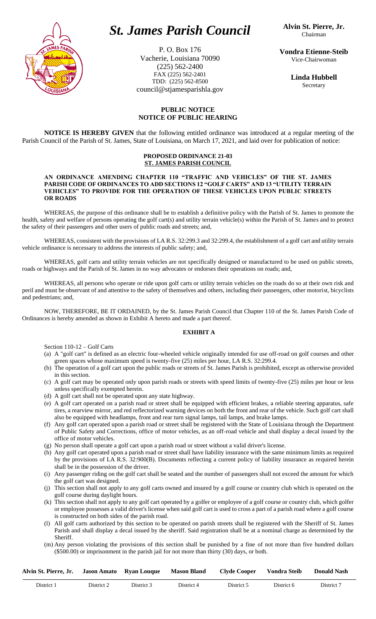

# *St. James Parish Council*

P. O. Box 176 Vacherie, Louisiana 70090 (225) 562-2400 FAX (225) 562-2401 TDD: (225) 562-8500 council@stjamesparishla.gov

**Vondra Etienne-Steib** Vice-Chairwoman

> **Linda Hubbell** Secretary

## **PUBLIC NOTICE NOTICE OF PUBLIC HEARING**

**NOTICE IS HEREBY GIVEN** that the following entitled ordinance was introduced at a regular meeting of the Parish Council of the Parish of St. James, State of Louisiana, on March 17, 2021, and laid over for publication of notice:

#### **PROPOSED ORDINANCE 21-03 ST. JAMES PARISH COUNCIL**

#### **AN ORDINANCE AMENDING CHAPTER 110 "TRAFFIC AND VEHICLES" OF THE ST. JAMES PARISH CODE OF ORDINANCES TO ADD SECTIONS 12 "GOLF CARTS" AND 13 "UTILITY TERRAIN VEHICLES" TO PROVIDE FOR THE OPERATION OF THESE VEHICLES UPON PUBLIC STREETS OR ROADS**

WHEREAS, the purpose of this ordinance shall be to establish a definitive policy with the Parish of St. James to promote the health, safety and welfare of persons operating the golf cart(s) and utility terrain vehicle(s) within the Parish of St. James and to protect the safety of their passengers and other users of public roads and streets; and,

WHEREAS, consistent with the provisions of LA R.S. 32:299.3 and 32:299.4, the establishment of a golf cart and utility terrain vehicle ordinance is necessary to address the interests of public safety; and,

WHEREAS, golf carts and utility terrain vehicles are not specifically designed or manufactured to be used on public streets, roads or highways and the Parish of St. James in no way advocates or endorses their operations on roads; and,

WHEREAS, all persons who operate or ride upon golf carts or utility terrain vehicles on the roads do so at their own risk and peril and must be observant of and attentive to the safety of themselves and others, including their passengers, other motorist, bicyclists and pedestrians; and,

NOW, THEREFORE, BE IT ORDAINED, by the St. James Parish Council that Chapter 110 of the St. James Parish Code of Ordinances is hereby amended as shown in Exhibit A hereto and made a part thereof.

### **EXHIBIT A**

Section 110-12 – Golf Carts

- (a) A "golf cart" is defined as an electric four-wheeled vehicle originally intended for use off-road on golf courses and other green spaces whose maximum speed is twenty-five (25) miles per hour, LA R.S. 32:299.4.
- (b) The operation of a golf cart upon the public roads or streets of St. James Parish is prohibited, except as otherwise provided in this section.
- (c) A golf cart may be operated only upon parish roads or streets with speed limits of twenty-five (25) miles per hour or less unless specifically exempted herein.
- (d) A golf cart shall not be operated upon any state highway.
- (e) A golf cart operated on a parish road or street shall be equipped with efficient brakes, a reliable steering apparatus, safe tires, a rearview mirror, and red reflectorized warning devices on both the front and rear of the vehicle. Such golf cart shall also be equipped with headlamps, front and rear turn signal lamps, tail lamps, and brake lamps.
- (f) Any golf cart operated upon a parish road or street shall be registered with the State of Louisiana through the Department of Public Safety and Corrections, office of motor vehicles, as an off-road vehicle and shall display a decal issued by the office of motor vehicles.
- (g) No person shall operate a golf cart upon a parish road or street without a valid driver's license.
- (h) Any golf cart operated upon a parish road or street shall have liability insurance with the same minimum limits as required by the provisions of LA R.S. 32:900(B). Documents reflecting a current policy of liability insurance as required herein shall be in the possession of the driver.
- (i) Any passenger riding on the golf cart shall be seated and the number of passengers shall not exceed the amount for which the golf cart was designed.
- (j) This section shall not apply to any golf carts owned and insured by a golf course or country club which is operated on the golf course during daylight hours.
- (k) This section shall not apply to any golf cart operated by a golfer or employee of a golf course or country club, which golfer or employee possesses a valid driver's license when said golf cart is used to cross a part of a parish road where a golf course is constructed on both sides of the parish road.
- (l) All golf carts authorized by this section to be operated on parish streets shall be registered with the Sheriff of St. James Parish and shall display a decal issued by the sheriff. Said registration shall be at a nominal charge as determined by the Sheriff.
- (m) Any person violating the provisions of this section shall be punished by a fine of not more than five hundred dollars (\$500.00) or imprisonment in the parish jail for not more than thirty (30) days, or both.

| Alvin St. Pierre, Jr. |            | Jason Amato Ryan Louque Mason Bland |            | <b>Clyde Cooper</b> | Vondra Steib | <b>Donald Nash</b> |
|-----------------------|------------|-------------------------------------|------------|---------------------|--------------|--------------------|
| District 1            | District 2 | District 3                          | District 4 | District 5          | District 6   | District 7         |